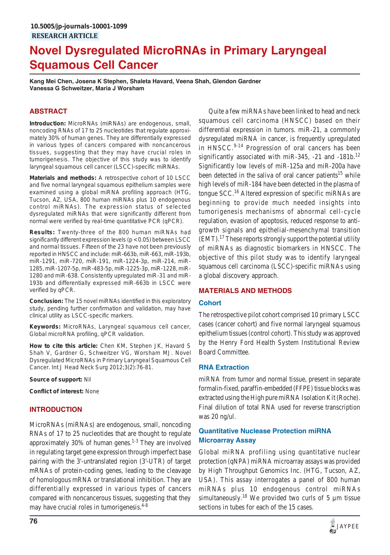# **Novel Dysregulated MicroRNAs in Primary Laryngeal Squamous Cell Cancer**

**Kang Mei Chen, Josena K Stephen, Shaleta Havard, Veena Shah, Glendon Gardner Vanessa G Schweitzer, Maria J Worsham**

# **ABSTRACT**

**Introduction:** MicroRNAs (miRNAs) are endogenous, small, noncoding RNAs of 17 to 25 nucleotides that regulate approximately 30% of human genes. They are differentially expressed in various types of cancers compared with noncancerous tissues, suggesting that they may have crucial roles in tumorigenesis. The objective of this study was to identify laryngeal squamous cell cancer (LSCC)-specific miRNAs.

**Materials and methods:** A retrospective cohort of 10 LSCC and five normal laryngeal squamous epithelium samples were examined using a global miRNA profiling approach (HTG, Tucson, AZ, USA, 800 human miRNAs plus 10 endogenous control miRNAs). The expression status of selected dysregulated miRNAs that were significantly different from normal were verified by real-time quantitative PCR (qPCR).

**Results:** Twenty-three of the 800 human miRNAs had significantly different expression levels (p < 0.05) between LSCC and normal tissues. Fifteen of the 23 have not been previously reported in HNSCC and include: miR-663b, miR-663, miR-193b, miR-1291, miR-720, miR-191, miR-1224-3p, miR-214, miR-1285, miR-1207-5p, miR-483-5p, miR-1225-3p, miR-1228, miR-1280 and miR-638. Consistently upregulated miR-31 and miR-193b and differentially expressed miR-663b in LSCC were verified by qPCR.

**Conclusion:** The 15 novel miRNAs identified in this exploratory study, pending further confirmation and validation, may have clinical utility as LSCC-specific markers.

**Keywords:** MicroRNAs, Laryngeal squamous cell cancer, Global microRNA profiling, qPCR validation.

**How to cite this article:** Chen KM, Stephen JK, Havard S Shah V, Gardner G, Schweitzer VG, Worsham MJ. Novel Dysregulated MicroRNAs in Primary Laryngeal Squamous Cell Cancer. Int J Head Neck Surg 2012;3(2):76-81.

**Source of support:** Nil

**Conflict of interest:** None

# **INTRODUCTION**

MicroRNAs (miRNAs) are endogenous, small, noncoding RNAs of 17 to 25 nucleotides that are thought to regulate approximately 30% of human genes. $1-3$  They are involved in regulating target gene expression through imperfect base pairing with the 3'-untranslated region (3'-UTR) of target mRNAs of protein-coding genes, leading to the cleavage of homologous mRNA or translational inhibition. They are differentially expressed in various types of cancers compared with noncancerous tissues, suggesting that they may have crucial roles in tumorigenesis. $4-8$ 

Quite a few miRNAs have been linked to head and neck squamous cell carcinoma (HNSCC) based on their differential expression in tumors. miR-21, a commonly dysregulated miRNA in cancer, is frequently upregulated in HNSCC.<sup>9-14</sup> Progression of oral cancers has been significantly associated with miR-345,  $-21$  and  $-181b$ .<sup>12</sup> Significantly low levels of miR-125a and miR-200a have been detected in the saliva of oral cancer patients<sup>15</sup> while high levels of miR-184 have been detected in the plasma of tongue SCC.<sup>16</sup> Altered expression of specific miRNAs are beginning to provide much needed insights into tumorigenesis mechanisms of abnormal cell-cycle regulation, evasion of apoptosis, reduced response to antigrowth signals and epithelial-mesenchymal transition  $(EMT)$ .<sup>17</sup> These reports strongly support the potential utility of miRNAs as diagnostic biomarkers in HNSCC. The objective of this pilot study was to identify laryngeal squamous cell carcinoma (LSCC)-specific miRNAs using a global discovery approach.

# **MATERIALS AND METHODS**

#### **Cohort**

The retrospective pilot cohort comprised 10 primary LSCC cases (cancer cohort) and five normal laryngeal squamous epithelium tissues (control cohort). This study was approved by the Henry Ford Health System Institutional Review Board Committee.

# **RNA Extraction**

miRNA from tumor and normal tissue, present in separate formalin-fixed, paraffin-embedded (FFPE) tissue blocks was extracted using the High pure miRNA Isolation Kit (Roche). Final dilution of total RNA used for reverse transcription was 20 ng/ul.

# **Quantitative Nuclease Protection miRNA Microarray Assay**

Global miRNA profiling using quantitative nuclear protection (qNPA) miRNA microarray assays was provided by High Throughput Genomics Inc. (HTG, Tucson, AZ, USA). This assay interrogates a panel of 800 human miRNAs plus 10 endogenous control miRNAs simultaneously.<sup>18</sup> We provided two curls of 5  $\mu$ m tissue sections in tubes for each of the 15 cases.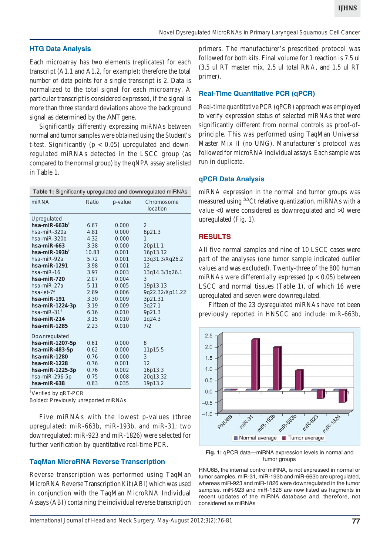# **HTG Data Analysis**

Each microarray has two elements (replicates) for each transcript (A1.1 and A1.2, for example); therefore the total number of data points for a single transcript is 2. Data is normalized to the total signal for each microarray. A particular transcript is considered expressed, if the signal is more than three standard deviations above the background signal as determined by the *ANT* gene.

Significantly differently expressing miRNAs between normal and tumor samples were obtained using the Student's t-test. Significantly ( $p < 0.05$ ) upregulated and downregulated miRNAs detected in the LSCC group (as compared to the normal group) by the qNPA assay are listed in Table 1.

| Table 1: Significantly upregulated and downregulated miRNAs |       |         |                        |  |  |  |
|-------------------------------------------------------------|-------|---------|------------------------|--|--|--|
| miRNA                                                       | Ratio | p-value | Chromosome<br>location |  |  |  |
| Upregulated                                                 |       |         |                        |  |  |  |
| hsa-miR-663b $†$                                            | 6.67  | 0.000   | 2                      |  |  |  |
| hsa-miR-320a                                                | 4.81  | 0.000   | 8p21.3                 |  |  |  |
| hsa-miR-320b                                                | 4.32  | 0.000   | 1                      |  |  |  |
| $hsa$ -mi $R$ -663                                          | 3.38  | 0.000   | 20p11.1                |  |  |  |
| hsa-miR-193b <sup>†</sup>                                   | 10.83 | 0.001   | 16p13.12               |  |  |  |
| hsa-miR-92a                                                 | 5.72  | 0.001   | 13q31.3/Xq26.2         |  |  |  |
| $hsa$ -mi $R-1291$                                          | 3.98  | 0.001   | 12                     |  |  |  |
| hsa-miR-16                                                  | 3.97  | 0.003   | 13q14.3/3q26.1         |  |  |  |
| hsa-miR-720                                                 | 2.07  | 0.004   | 3                      |  |  |  |
| hsa-miR-27a                                                 | 5.11  | 0.005   | 19p13.13               |  |  |  |
| hsa-let-7f                                                  | 2.89  | 0.006   | 9q22.32/Xp11.22        |  |  |  |
| hsa-miR-191                                                 | 3.30  | 0.009   | 3p21.31                |  |  |  |
| hsa-miR-1224-3p                                             | 3.19  | 0.009   | 3q27.1                 |  |  |  |
| hsa-mi $R-31$ <sup>t</sup>                                  | 6.16  | 0.010   | 9p21.3                 |  |  |  |
| hsa-miR-214                                                 | 3.15  | 0.010   | 1q24.3                 |  |  |  |
| $hsa$ -mi $R-1285$                                          | 2.23  | 0.010   | 7/2                    |  |  |  |
| Downregulated                                               |       |         |                        |  |  |  |
| hsa-miR-1207-5p                                             | 0.61  | 0.000   | 8                      |  |  |  |
| $hsa$ -mi $R$ -483-5p                                       | 0.62  | 0.000   | 11p15.5                |  |  |  |
| hsa-miR-1280                                                | 0.76  | 0.000   | 3                      |  |  |  |
| $hsa$ -mi $R-1228$                                          | 0.76  | 0.001   | 12                     |  |  |  |
| hsa-miR-1225-3p                                             | 0.76  | 0.002   | 16p13.3                |  |  |  |
| hsa-miR-296-5p                                              | 0.75  | 0.008   | 20q13.32               |  |  |  |
| hsa-miR-638                                                 | 0.83  | 0.035   | 19p13.2                |  |  |  |
|                                                             |       |         |                        |  |  |  |

†Verified by qRT-PCR

Bolded: Previously unreported miRNAs

Five miRNAs with the lowest p-values (three upregulated: miR-663b, miR-193b, and miR-31; two downregulated: miR-923 and miR-1826) were selected for further verification by quantitative real-time PCR.

# **TaqMan MicroRNA Reverse Transcription**

Reverse transcription was performed using TaqMan MicroRNA Reverse Transcription Kit (ABI) which was used in conjunction with the TaqMan MicroRNA Individual Assays (ABI) containing the individual reverse transcription

primers. The manufacturer's prescribed protocol was followed for both kits. Final volume for 1 reaction is 7.5 ul (3.5 ul RT master mix, 2.5 ul total RNA, and 1.5 ul RT primer).

#### **Real-Time Quantitative PCR (qPCR)**

Real-time quantitative PCR (qPCR) approach was employed to verify expression status of selected miRNAs that were significantly different from normal controls as proof-ofprinciple. This was performed using TaqMan Universal Master Mix II (no UNG). Manufacturer's protocol was followed for microRNA individual assays. Each sample was run in duplicate.

#### **qPCR Data Analysis**

miRNA expression in the normal and tumor groups was measured using  $^{44}$ Ct relative quantization. miRNAs with a value <0 were considered as downregulated and >0 were upregulated (Fig. 1).

# **RESULTS**

All five normal samples and nine of 10 LSCC cases were part of the analyses (one tumor sample indicated outlier values and was excluded). Twenty-three of the 800 human miRNAs were differentially expressed ( $p < 0.05$ ) between LSCC and normal tissues (Table 1), of which 16 were upregulated and seven were downregulated.

Fifteen of the 23 dysregulated miRNAs have not been previously reported in HNSCC and include: miR-663b,



**Fig. 1:** qPCR data—miRNA expression levels in normal and tumor groups

RNU6B, the internal control miRNA, is not expressed in normal or tumor samples. miR-31, miR-193b and miR-663b are upregulated, whereas miR-923 and miR-1826 were downregulated in the tumor samples. miR-923 and miR-1826 are now listed as fragments in recent updates of the miRNA database and, therefore, not considered as miRNAs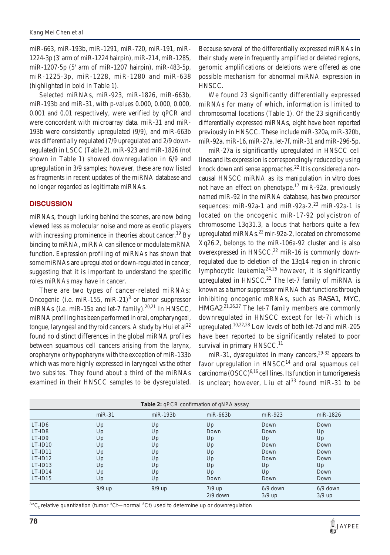miR-663, miR-193b, miR-1291, miR-720, miR-191, miR-1224-3p (3' arm of miR-1224 hairpin), miR-214, miR-1285, miR-1207-5p (5' arm of miR-1207 hairpin), miR-483-5p, miR-1225-3p, miR-1228, miR-1280 and miR-638 (highlighted in bold in Table 1).

Selected miRNAs, miR-923, miR-1826, miR-663b, miR-193b and miR-31, with p-values 0.000, 0.000, 0.000, 0.001 and 0.01 respectively, were verified by qPCR and were concordant with microarray data. miR-31 and miR-193b were consistently upregulated (9/9), and miR-663b was differentially regulated (7/9 upregulated and 2/9 downregulated) in LSCC (Table 2). miR-923 and miR-1826 (not shown in Table 1) showed downregulation in 6/9 and upregulation in 3/9 samples; however, these are now listed as fragments in recent updates of the miRNA database and no longer regarded as legitimate miRNAs.

### **DISCUSSION**

miRNAs, though lurking behind the scenes, are now being viewed less as molecular noise and more as exotic players with increasing prominence in theories about cancer.<sup>19</sup> By binding to mRNA, miRNA can silence or modulate mRNA function. Expression profiling of miRNAs has shown that some miRNAs are upregulated or down-regulated in cancer, suggesting that it is important to understand the specific roles miRNAs may have in cancer.

There are two types of cancer-related miRNAs: Oncogenic (i.e. miR-155, miR-21)<sup>8</sup> or tumor suppressor miRNAs (i.e. miR-15a and let-7 family).<sup>20,21</sup> In HNSCC, miRNA profiling has been performed in oral, oropharyngeal, tongue, laryngeal and thyroid cancers. A study by Hui et al<sup>22</sup> found no distinct differences in the global miRNA profiles between squamous cell cancers arising from the larynx, oropharynx or hypopharynx with the exception of miR-133b which was more highly expressed in laryngeal *vs* the other two subsites. They found about a third of the miRNAs examined in their HNSCC samples to be dysregulated.

Because several of the differentially expressed miRNAs in their study were in frequently amplified or deleted regions, genomic amplifications or deletions were offered as one possible mechanism for abnormal miRNA expression in HNSCC.

We found 23 significantly differentially expressed miRNAs for many of which, information is limited to chromosomal locations (Table 1). Of the 23 significantly differentially expressed miRNAs, eight have been reported previously in HNSCC. These include miR-320a, miR-320b, miR-92a, miR-16, miR-27a, let-7f, miR-31 and miR-296-5p.

miR-27a is significantly upregulated in HNSCC cell lines and its expression is correspondingly reduced by using knock down anti sense approaches.<sup>22</sup> It is considered a noncausal HNSCC miRNA as its manipulation *in vitro* does not have an effect on phenotype.<sup>17</sup> miR-92a, previously named miR-92 in the miRNA database, has two precursor sequences: miR-92a-1 and miR-92a-2.<sup>23</sup> miR-92a-1 is located on the oncogenic miR-17-92 polycistron of chromosome 13q31.3, a locus that harbors quite a few upregulated miRNAs. $^{22}$  mir-92a-2, located on chromosome Xq26.2, belongs to the miR-106a-92 cluster and is also overexpressed in HNSCC.<sup>22</sup> miR-16 is commonly downregulated due to deletion of the 13q14 region in chronic lymphocytic leukemia; $24,25$  however, it is significantly upregulated in HNSCC.<sup>22</sup> The let-7 family of miRNA is known as a tumor suppressor miRNA that functions through inhibiting oncogenic mRNAs, such as *RASA1*, *MYC*, *HMGA2*. 21,26,27 The let-7 family members are commonly downregulated in HNSCC except for let-7i which is upregulated.<sup>10,22,28</sup> Low levels of both let-7d and miR-205 have been reported to be significantly related to poor survival in primary  $HNSCC<sup>11</sup>$ 

miR-31, dysregulated in many cancers,  $29-32$  appears to favor upregulation in  $HNSCC<sup>14</sup>$  and oral squamous cell carcinoma  $\left( \text{OSCC} \right)^{6,16}$  cell lines. Its function in tumorigenesis is unclear; however, Liu et  $al^{33}$  found miR-31 to be

| Table 2: qPCR confirmation of qNPA assay |          |            |                        |                        |                      |  |  |
|------------------------------------------|----------|------------|------------------------|------------------------|----------------------|--|--|
|                                          | $miR-31$ | $miR-193b$ | $miR-663b$             | $miR-923$              | miR-1826             |  |  |
| LT-ID6                                   | Up       | Up         | Up                     | Down                   | Down                 |  |  |
| LT-ID8                                   | Up       | Up         | Down                   | Down                   | Up                   |  |  |
| LT-ID9                                   | Up       | Up         | Up                     | Up                     | Up                   |  |  |
| $LT$ -ID10                               | Up       | Up         | Up                     | Down                   | Down                 |  |  |
| $LT$ -ID11                               | Up       | Up         | Up                     | Down                   | Down                 |  |  |
| $LT$ -ID12                               | Up       | Up         | Up                     | Down                   | Down                 |  |  |
| $LT$ -ID13                               | Up       | Up         | Up                     | Up                     | Up                   |  |  |
| $LT$ -ID14                               | Up       | Up         | Up                     | Up                     | Down                 |  |  |
| $LT$ -ID15                               | Up       | Up         | Down                   | Down                   | Down                 |  |  |
|                                          | $9/9$ up | $9/9$ up   | $7/9$ up<br>$2/9$ down | $6/9$ down<br>$3/9$ up | 6/9 down<br>$3/9$ up |  |  |

 $\rm{^{4\Delta}C_{t}}$  relative quantization (tumor  $\rm{^{4}Ct}$ —normal  $\rm{^{4}Ct)}$  used to determine up or downregulation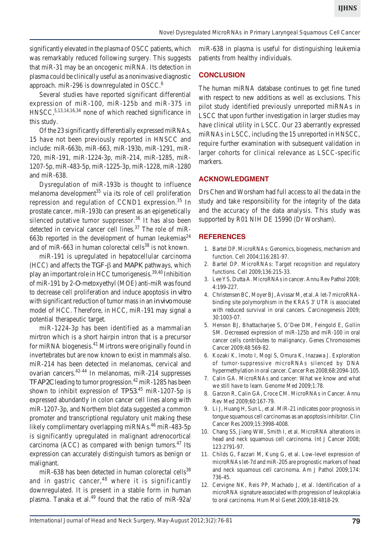significantly elevated in the plasma of OSCC patients, which was remarkably reduced following surgery. This suggests that miR-31 may be an oncogenic miRNA. Its detection in plasma could be clinically useful as a noninvasive diagnostic approach. miR-296 is downregulated in OSCC.<sup>6</sup>

Several studies have reported significant differential expression of miR-100, miR-125b and miR-375 in HNSCC,5,13,14,16,34 none of which reached significance in this study.

Of the 23 significantly differentially expressed miRNAs, 15 have not been previously reported in HNSCC and include: miR-663b, miR-663, miR-193b, miR-1291, miR-720, miR-191, miR-1224-3p, miR-214, miR-1285, miR-1207-5p, miR-483-5p, miR-1225-3p, miR-1228, miR-1280 and miR-638.

Dysregulation of miR-193b is thought to influence melanoma development $35$  via its role of cell proliferation repression and regulation of CCND1 expression.<sup>35</sup> In prostate cancer, miR-193b can present as an epigenetically silenced putative tumor suppressor.<sup>36</sup> It has also been detected in cervical cancer cell lines.<sup>37</sup> The role of miR-663b reported in the development of human leukemias<sup>24</sup> and of miR-663 in human colorectal cells<sup>38</sup> is not known.

miR-191 is upregulated in hepatocellular carcinoma (HCC) and affects the  $TGF$ - $\beta$  and *MAPK* pathways, which play an important role in HCC tumorigenesis.39,40 Inhibition of miR-191 by 2-*O*-metoxyethyl (MOE) anti-miR was found to decrease cell proliferation and induce apoptosis *in vitro* with significant reduction of tumor mass in an *in vivo* mouse model of HCC. Therefore, in HCC, miR-191 may signal a potential therapeutic target.

miR-1224-3p has been identified as a mammalian mirtron which is a short hairpin intron that is a precursor for miRNA biogenesis.<sup>41</sup> Mirtrons were originally found in invertebrates but are now known to exist in mammals also. miR-214 has been detected in melanomas, cervical and ovarian cancers.42-44 In melanomas, miR-214 suppresses *TFAP2C* leading to tumor progression.<sup>42</sup> miR-1285 has been shown to inhibit expression of *TP53*. 45 miR-1207-5p is expressed abundantly in colon cancer cell lines along with miR-1207-3p, and Northern blot data suggested a common promoter and transcriptional regulatory unit making these likely complimentary overlapping miRNAs.<sup>46</sup> miR-483-5p is significantly upregulated in malignant adrenocortical carcinoma (ACC) as compared with benign tumors.47 Its expression can accurately distinguish tumors as benign or malignant.

miR-638 has been detected in human colorectal cells<sup>38</sup> and in gastric cancer,  $48$  where it is significantly downregulated. It is present in a stable form in human plasma. Tanaka et al.<sup>49</sup> found that the ratio of miR-92a/

miR-638 in plasma is useful for distinguishing leukemia patients from healthy individuals.

## **CONCLUSION**

The human miRNA database continues to get fine tuned with respect to new additions as well as exclusions. This pilot study identified previously unreported miRNAs in LSCC that upon further investigation in larger studies may have clinical utility in LSCC. Our 23 aberrantly expressed miRNAs in LSCC, including the 15 unreported in HNSCC, require further examination with subsequent validation in larger cohorts for clinical relevance as LSCC-specific markers.

### **ACKNOWLEDGMENT**

Drs Chen and Worsham had full access to all the data in the study and take responsibility for the integrity of the data and the accuracy of the data analysis. This study was supported by R01 NIH DE 15990 (Dr Worsham).

# **REFERENCES**

- 1. Bartel DP. MicroRNAs: Genomics, biogenesis, mechanism and function. Cell 2004;116:281-97.
- 2. Bartel DP. MicroRNAs: Target recognition and regulatory functions. Cell 2009;136:215-33.
- 3. Lee YS, Dutta A. MicroRNAs in cancer. Annu Rev Pathol 2009; 4:199-227.
- 4. Christensen BC, Moyer BJ, Avissar M, et al. A let-7 microRNAbinding site polymorphism in the KRAS 3' UTR is associated with reduced survival in oral cancers. Carcinogenesis 2009; 30:1003-07.
- 5. Henson BJ, Bhattacharjee S, O'Dee DM, Feingold E, Gollin SM. Decreased expression of miR-125b and miR-100 in oral cancer cells contributes to malignancy. Genes Chromosomes Cancer 2009;48:569-82.
- 6. Kozaki K, Imoto I, Mogi S, Omura K, Inazawa J. Exploration of tumor-suppressive microRNAs silenced by DNA hypermethylation in oral cancer. Cancer Res 2008;68:2094-105.
- 7. Calin GA. MicroRNAs and cancer: What we know and what we still have to learn. Genome Med 2009;1:78.
- 8. Garzon R, Calin GA, Croce CM. MicroRNAs in Cancer. Annu Rev Med 2009;60:167-79.
- 9. Li J, Huang H, Sun L, et al. MiR-21 indicates poor prognosis in tongue squamous cell carcinomas as an apoptosis inhibitor. Clin Cancer Res 2009;15:3998-4008.
- 10. Chang SS, Jiang WW, Smith I, et al. MicroRNA alterations in head and neck squamous cell carcinoma. Int J Cancer 2008; 123:2791-97.
- 11. Childs G, Fazzari M, Kung G, et al. Low-level expression of microRNAs let-7d and miR-205 are prognostic markers of head and neck squamous cell carcinoma. Am J Pathol 2009;174: 736-45.
- 12. Cervigne NK, Reis PP, Machado J, et al. Identification of a microRNA signature associated with progression of leukoplakia to oral carcinoma. Hum Mol Genet 2009;18:4818-29.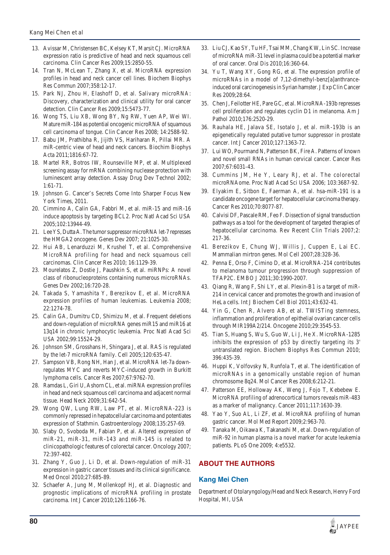- 13. Avissar M, Christensen BC, Kelsey KT, Marsit CJ. MicroRNA expression ratio is predictive of head and neck squamous cell carcinoma. Clin Cancer Res 2009;15:2850-55.
- 14. Tran N, McLean T, Zhang X, et al. MicroRNA expression profiles in head and neck cancer cell lines. Biochem Biophys Res Commun 2007;358:12-17.
- 15. Park NJ, Zhou H, Elashoff D, et al. Salivary microRNA: Discovery, characterization and clinical utility for oral cancer detection. Clin Cancer Res 2009;15:5473-77.
- 16. Wong TS, Liu XB, Wong BY, Ng RW, Yuen AP, Wei WI. Mature miR-184 as potential oncogenic microRNA of squamous cell carcinoma of tongue. Clin Cancer Res 2008; 14:2588-92.
- 17. Babu JM, Prathibha R, Jijith VS, Hariharan R, Pillai MR. A miR-centric view of head and neck cancers. Biochim Biophys Acta 2011;1816:67-72.
- 18. Martel RR, Botros IW, Rounseville MP, et al. Multiplexed screening assay for mRNA combining nuclease protection with luminescent array detection. Assay Drug Dev Technol 2002; 1:61-71.
- 19. Johnson G. Cancer's Secrets Come Into Sharper Focus New York Times, 2011.
- 20. Cimmino A, Calin GA, Fabbri M, et al. miR-15 and miR-16 induce apoptosis by targeting BCL2. Proc Natl Acad Sci USA 2005;102:13944-49.
- 21. Lee YS, Dutta A. The tumor suppressor microRNA let-7 represses the HMGA2 oncogene. Genes Dev 2007; 21:1025-30.
- 22. Hui AB, Lenarduzzi M, Krushel T, et al. Comprehensive MicroRNA profiling for head and neck squamous cell carcinomas. Clin Cancer Res 2010; 16:1129-39.
- 23. Mourelatos Z, Dostie J, Paushkin S, et al. miRNPs: A novel class of ribonucleoproteins containing numerous microRNAs. Genes Dev 2002;16:720-28.
- 24. Takada S, Yamashita Y, Berezikov E, et al. MicroRNA expression profiles of human leukemias. Leukemia 2008; 22:1274-78.
- 25. Calin GA, Dumitru CD, Shimizu M, et al. Frequent deletions and down-regulation of microRNA genes miR15 and miR16 at 13q14 in chronic lymphocytic leukemia. Proc Natl Acad Sci USA 2002;99:15524-29.
- 26. Johnson SM, Grosshans H, Shingara J, et al. RAS is regulated by the let-7 microRNA family. Cell 2005;120:635-47.
- 27. Sampson VB, Rong NH, Han J, et al. MicroRNA let-7a downregulates MYC and reverts MYC-induced growth in Burkitt lymphoma cells. Cancer Res 2007;67:9762-70.
- 28. Ramdas L, Giri U, Ashorn CL, et al. miRNA expression profiles in head and neck squamous cell carcinoma and adjacent normal tissue. Head Neck 2009;31:642-54.
- 29. Wong QW, Lung RW, Law PT, et al. MicroRNA-223 is commonly repressed in hepatocellular carcinoma and potentiates expression of Stathmin. Gastroenterology 2008;135:257-69.
- 30. Slaby O, Svoboda M, Fabian P, et al. Altered expression of miR-21, miR-31, miR-143 and miR-145 is related to clinicopathologic features of colorectal cancer. Oncology 2007; 72:397-402.
- 31. Zhang Y, Guo J, Li D, et al. Down-regulation of miR-31 expression in gastric cancer tissues and its clinical significance. Med Oncol 2010;27:685-89.
- 32. Schaefer A, Jung M, Mollenkopf HJ, et al. Diagnostic and prognostic implications of microRNA profiling in prostate carcinoma. Int J Cancer 2010;126:1166-76.
- 33. Liu CJ, Kao SY, Tu HF, Tsai MM, Chang KW, Lin SC. Increase of microRNA miR-31 level in plasma could be a potential marker of oral cancer. Oral Dis 2010;16:360-64.
- 34. Yu T, Wang XY, Gong RG, et al. The expression profile of microRNAs in a model of 7,12-dimethyl-benz[a]anthranceinduced oral carcinogenesis in Syrian hamster. J Exp Clin Cancer Res 2009;28:64.
- 35. Chen J, Feilotter HE, Pare GC, et al. MicroRNA-193b represses cell proliferation and regulates cyclin D1 in melanoma. Am J Pathol 2010;176:2520-29.
- 36. Rauhala HE, Jalava SE, Isotalo J, et al. miR-193b is an epigenetically regulated putative tumor suppressor in prostate cancer. Int J Cancer 2010;127:1363-72.
- 37. Lui WO, Pourmand N, Patterson BK, Fire A. Patterns of known and novel small RNAs in human cervical cancer. Cancer Res 2007;67:6031-43.
- 38. Cummins JM, He Y, Leary RJ, et al. The colorectal microRNAome. Proc Natl Acad Sci USA 2006; 103:3687-92.
- 39. Elyakim E, Sitbon E, Faerman A, et al. hsa-miR-191 is a candidate oncogene target for hepatocellular carcinoma therapy. Cancer Res 2010;70:8077-87.
- 40. Calvisi DF, Pascale RM, Feo F. Dissection of signal transduction pathways as a tool for the development of targeted therapies of hepatocellular carcinoma. Rev Recent Clin Trials 2007;2: 217-36.
- 41. Berezikov E, Chung WJ, Willis J, Cuppen E, Lai EC. Mammalian mirtron genes. Mol Cell 2007;28:328-36.
- 42. Penna E, Orso F, Cimino D, et al. MicroRNA-214 contributes to melanoma tumour progression through suppression of TFAP2C. EMBO J 2011;30:1990-2007.
- 43. Qiang R, Wang F, Shi LY, et al. Plexin-B1 is a target of miR-214 in cervical cancer and promotes the growth and invasion of HeLa cells. Int J Biochem Cell Biol 2011;43:632-41.
- 44. Yin G, Chen R, Alvero AB, et al. TWISTing stemness, inflammation and proliferation of epithelial ovarian cancer cells through MIR199A2/214. Oncogene 2010;29:3545-53.
- 45. Tian S, Huang S, Wu S, Guo W, Li J, He X. MicroRNA-1285 inhibits the expression of p53 by directly targeting its 3' untranslated region. Biochem Biophys Res Commun 2010; 396:435-39.
- 46. Huppi K, Volfovsky N, Runfola T, et al. The identification of microRNAs in a genomically unstable region of human chromosome 8q24. Mol Cancer Res 2008;6:212-21.
- 47. Patterson EE, Holloway AK, Weng J, Fojo T, Kebebew E. MicroRNA profiling of adrenocortical tumors reveals miR-483 as a marker of malignancy. Cancer 2011;117:1630-39.
- 48. Yao Y, Suo AL, Li ZF, et al. MicroRNA profiling of human gastric cancer. Mol Med Report 2009;2:963-70.
- 49. Tanaka M, Oikawa K, Takanashi M, et al. Down-regulation of miR-92 in human plasma is a novel marker for acute leukemia patients. PLoS One 2009; 4:e5532.

# **ABOUT THE AUTHORS**

#### **Kang Mei Chen**

Department of Otolaryngology/Head and Neck Research, Henry Ford Hospital, MI, USA